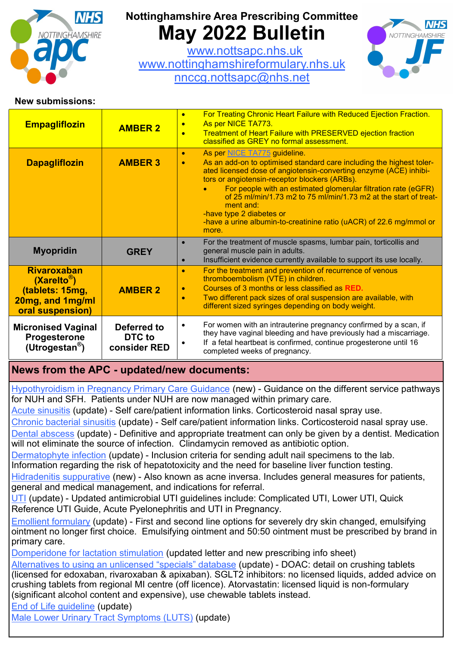

# **Nottinghamshire Area Prescribing Committee May 2022 Bulletin**

[www.nottsapc.nhs.uk](http://www.nottsapc.nhs.uk) [www.nottinghamshireformulary.nhs.uk](http://www.nottinghamshireformulary.nhs.uk/) [nnccg.nottsapc@nhs.net](mailto:nnccg.nottsapc@nhs.net)



### **New submissions:**

| <b>Empagliflozin</b>                                                                                     | <b>AMBER 2</b>                        | For Treating Chronic Heart Failure with Reduced Ejection Fraction.<br>$\bullet$<br>As per NICE TA773.<br>$\bullet$<br><b>Treatment of Heart Failure with PRESERVED ejection fraction</b><br>classified as GREY no formal assessment.                                                                                                                                                                                                                                                                                |
|----------------------------------------------------------------------------------------------------------|---------------------------------------|---------------------------------------------------------------------------------------------------------------------------------------------------------------------------------------------------------------------------------------------------------------------------------------------------------------------------------------------------------------------------------------------------------------------------------------------------------------------------------------------------------------------|
| <b>Dapagliflozin</b>                                                                                     | <b>AMBER 3</b>                        | As per NICE TA775 guideline.<br>$\bullet$<br>As an add-on to optimised standard care including the highest toler-<br>$\bullet$<br>ated licensed dose of angiotensin-converting enzyme (ACE) inhibi-<br>tors or angiotensin-receptor blockers (ARBs).<br>For people with an estimated glomerular filtration rate (eGFR)<br>of 25 ml/min/1.73 m2 to 75 ml/min/1.73 m2 at the start of treat-<br>ment and:<br>-have type 2 diabetes or<br>-have a urine albumin-to-creatinine ratio (uACR) of 22.6 mg/mmol or<br>more. |
| <b>Myopridin</b>                                                                                         | <b>GREY</b>                           | For the treatment of muscle spasms, lumbar pain, torticollis and<br>general muscle pain in adults.<br>Insufficient evidence currently available to support its use locally.<br>$\bullet$                                                                                                                                                                                                                                                                                                                            |
| <b>Rivaroxaban</b><br>$(Xarelto^{\circledR})$<br>(tablets: 15mg,<br>20mg, and 1mg/ml<br>oral suspension) | <b>AMBER 2</b>                        | For the treatment and prevention of recurrence of venous<br>$\bullet$<br>thromboembolism (VTE) in children.<br>Courses of 3 months or less classified as RED.<br>$\bullet$<br>Two different pack sizes of oral suspension are available, with<br>$\bullet$<br>different sized syringes depending on body weight.                                                                                                                                                                                                    |
| <b>Micronised Vaginal</b><br>Progesterone<br>(Utrogestan <sup>®</sup> )                                  | Deferred to<br>DTC to<br>consider RED | For women with an intrauterine pregnancy confirmed by a scan, if<br>$\bullet$<br>they have vaginal bleeding and have previously had a miscarriage.<br>If a fetal heartbeat is confirmed, continue progesterone until 16<br>٠<br>completed weeks of pregnancy.                                                                                                                                                                                                                                                       |

## **News from the APC - updated/new documents:**

[Hypothyroidism in Pregnancy Primary Care Guidance](https://www.nottsapc.nhs.uk/media/1730/hypothyroidism-in-pregnancy-primary-care-guidance.pdf) (new) - Guidance on the different service pathways for NUH and SFH. Patients under NUH are now managed within primary care.

[Acute sinusitis](https://www.nottsapc.nhs.uk/media/1353/8-acute-sinusitis.pdf) (update) - Self care/patient information links. Corticosteroid nasal spray use.

[Chronic bacterial sinusitis](https://www.nottsapc.nhs.uk/media/1354/9-chronic-bacterial-sinusitis.pdf) (update) - Self care/patient information links. Corticosteroid nasal spray use. [Dental abscess](https://www.nottsapc.nhs.uk/media/1355/10-dental-abscess.pdf) (update) - Definitive and appropriate treatment can only be given by a dentist. Medication will not eliminate the source of infection. Clindamycin removed as antibiotic option.

[Dermatophyte infection](https://www.nottsapc.nhs.uk/media/1413/43-d-fingertoe-ivvwkr.pdf) (update) - Inclusion criteria for sending adult nail specimens to the lab. Information regarding the risk of hepatotoxicity and the need for baseline liver function testing.

[Hidradenitis suppurative](https://www.nottsapc.nhs.uk/media/1728/hidradenitis-suppurativa.pdf) (new) - Also known as acne inversa. Includes general measures for patients, general and medical management, and indications for referral.

[UTI](https://www.nottsapc.nhs.uk/guidelinesformularies/antimicrobial-guidelines/) (update) - Updated antimicrobial UTI guidelines include: Complicated UTI, Lower UTI, Quick Reference UTI Guide, Acute Pyelonephritis and UTI in Pregnancy.

[Emollient formulary](https://www.nottsapc.nhs.uk/media/1623/emollient-formulary.pdf) (update) - First and second line options for severely dry skin changed, emulsifying ointment no longer first choice. Emulsifying ointment and 50:50 ointment must be prescribed by brand in primary care.

[Domperidone for lactation stimulation](https://view.officeapps.live.com/op/view.aspx?src=https%3A%2F%2Fwww.nottsapc.nhs.uk%2Fmedia%2F1076%2Fdomperidone-for-lactation-letter.docx&wdOrigin=BROWSELINK) (updated letter and new prescribing info sheet)

[Alternatives to using an unlicensed](https://www.nottsapc.nhs.uk/media/1300/current_specials-a-z-notts.pdf) "specials" database (update) - DOAC: detail on crushing tablets (licensed for edoxaban, rivaroxaban & apixaban). SGLT2 inhibitors: no licensed liquids, added advice on crushing tablets from regional MI centre (off licence). Atorvastatin: licensed liquid is non-formulary (significant alcohol content and expensive), use chewable tablets instead.

[End of Life guideline](https://www.nottsapc.nhs.uk/media/1078/end_of_life_care_guidance.pdf) (update)

[Male Lower Urinary Tract Symptoms \(LUTS\)](https://www.nottsapc.nhs.uk/media/1095/male-luts-clinical-guideline.pdf) (update)